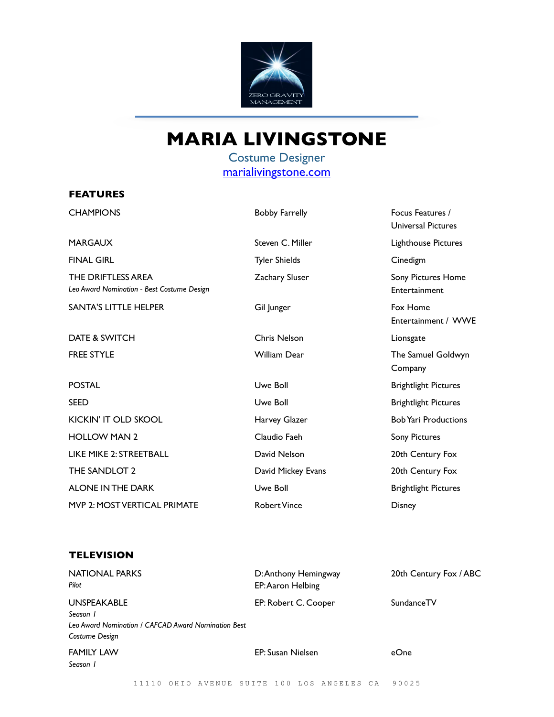

## **MARIA LIVINGSTONE**

Costume Designer [marialivingstone.com](http://marialivingstone.com)

## **FEATURES**

| <b>CHAMPIONS</b>                                                 | <b>Bobby Farrelly</b> | Focus Features /<br><b>Universal Pictures</b> |
|------------------------------------------------------------------|-----------------------|-----------------------------------------------|
| MARGAUX                                                          | Steven C. Miller      | Lighthouse Pictures                           |
| <b>FINAL GIRL</b>                                                | <b>Tyler Shields</b>  | Cinedigm                                      |
| THE DRIFTLESS AREA<br>Leo Award Nomination - Best Costume Design | <b>Zachary Sluser</b> | Sony Pictures Home<br>Entertainment           |
| <b>SANTA'S LITTLE HELPER</b>                                     | Gil Junger            | Fox Home<br>Entertainment / WWE               |
| DATE & SWITCH                                                    | <b>Chris Nelson</b>   | Lionsgate                                     |
| <b>FREE STYLE</b>                                                | <b>William Dear</b>   | The Samuel Goldwyn<br>Company                 |
| <b>POSTAL</b>                                                    | Uwe Boll              | <b>Brightlight Pictures</b>                   |
| SEED                                                             | Uwe Boll              | <b>Brightlight Pictures</b>                   |
| <b>KICKIN' IT OLD SKOOL</b>                                      | Harvey Glazer         | <b>Bob Yari Productions</b>                   |
| <b>HOLLOW MAN 2</b>                                              | Claudio Faeh          | <b>Sony Pictures</b>                          |
| <b>LIKE MIKE 2: STREETBALL</b>                                   | David Nelson          | 20th Century Fox                              |
| THE SANDLOT 2                                                    | David Mickey Evans    | 20th Century Fox                              |
| <b>ALONE IN THE DARK</b>                                         | Uwe Boll              | <b>Brightlight Pictures</b>                   |
| MVP 2: MOST VERTICAL PRIMATE                                     | <b>Robert Vince</b>   | <b>Disney</b>                                 |
|                                                                  |                       |                                               |

## **TELEVISION**

| <b>NATIONAL PARKS</b><br>Pilot                      | D: Anthony Hemingway<br>EP: Aaron Helbing | 20th Century Fox / ABC |
|-----------------------------------------------------|-------------------------------------------|------------------------|
| <b>UNSPEAKABLE</b>                                  | EP: Robert C. Cooper                      | SundanceTV             |
| Season 1                                            |                                           |                        |
| Leo Award Nomination / CAFCAD Award Nomination Best |                                           |                        |
| Costume Design                                      |                                           |                        |
| <b>FAMILY LAW</b>                                   | EP: Susan Nielsen                         | eOne                   |
| Season I                                            |                                           |                        |